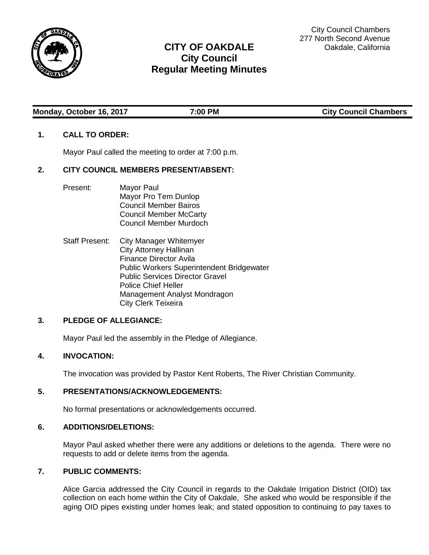

# **CITY OF OAKDALE City Council Regular Meeting Minutes**

**Monday, October 16, 2017 7:00 PM City Council Chambers**

## **1. CALL TO ORDER:**

Mayor Paul called the meeting to order at 7:00 p.m.

### **2. CITY COUNCIL MEMBERS PRESENT/ABSENT:**

- Present: Mayor Paul Mayor Pro Tem Dunlop Council Member Bairos Council Member McCarty Council Member Murdoch
- Staff Present: City Manager Whitemyer City Attorney Hallinan Finance Director Avila Public Workers Superintendent Bridgewater Public Services Director Gravel Police Chief Heller Management Analyst Mondragon City Clerk Teixeira

### **3. PLEDGE OF ALLEGIANCE:**

Mayor Paul led the assembly in the Pledge of Allegiance.

### **4. INVOCATION:**

The invocation was provided by Pastor Kent Roberts, The River Christian Community.

#### **5. PRESENTATIONS/ACKNOWLEDGEMENTS:**

No formal presentations or acknowledgements occurred.

#### **6. ADDITIONS/DELETIONS:**

Mayor Paul asked whether there were any additions or deletions to the agenda. There were no requests to add or delete items from the agenda.

#### **7. PUBLIC COMMENTS:**

Alice Garcia addressed the City Council in regards to the Oakdale Irrigation District (OID) tax collection on each home within the City of Oakdale, She asked who would be responsible if the aging OID pipes existing under homes leak; and stated opposition to continuing to pay taxes to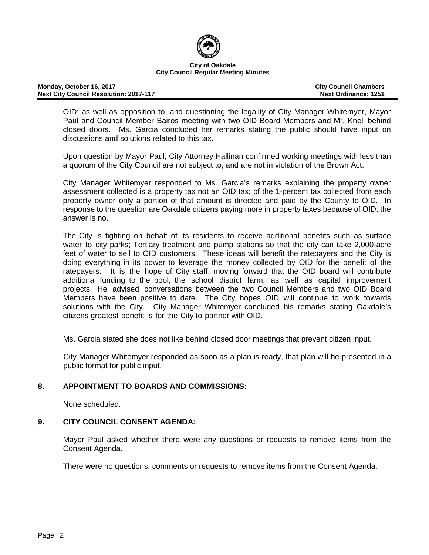

#### **Monday, October 16, 2017 City Council Chambers Next City Council Resolution: 2017-117**

OID; as well as opposition to, and questioning the legality of City Manager Whitemyer, Mayor Paul and Council Member Bairos meeting with two OID Board Members and Mr. Knell behind closed doors. Ms. Garcia concluded her remarks stating the public should have input on discussions and solutions related to this tax.

Upon question by Mayor Paul; City Attorney Hallinan confirmed working meetings with less than a quorum of the City Council are not subject to, and are not in violation of the Brown Act.

City Manager Whitemyer responded to Ms. Garcia's remarks explaining the property owner assessment collected is a property tax not an OID tax; of the 1-percent tax collected from each property owner only a portion of that amount is directed and paid by the County to OID. In response to the question are Oakdale citizens paying more in property taxes because of OID; the answer is no.

The City is fighting on behalf of its residents to receive additional benefits such as surface water to city parks; Tertiary treatment and pump stations so that the city can take 2,000-acre feet of water to sell to OID customers. These ideas will benefit the ratepayers and the City is doing everything in its power to leverage the money collected by OID for the benefit of the ratepayers. It is the hope of City staff, moving forward that the OID board will contribute additional funding to the pool; the school district farm; as well as capital improvement projects. He advised conversations between the two Council Members and two OID Board Members have been positive to date. The City hopes OID will continue to work towards solutions with the City. City Manager Whitemyer concluded his remarks stating Oakdale's citizens greatest benefit is for the City to partner with OID.

Ms. Garcia stated she does not like behind closed door meetings that prevent citizen input.

City Manager Whitemyer responded as soon as a plan is ready, that plan will be presented in a public format for public input.

### **8. APPOINTMENT TO BOARDS AND COMMISSIONS:**

None scheduled.

#### **9. CITY COUNCIL CONSENT AGENDA:**

Mayor Paul asked whether there were any questions or requests to remove items from the Consent Agenda.

There were no questions, comments or requests to remove items from the Consent Agenda.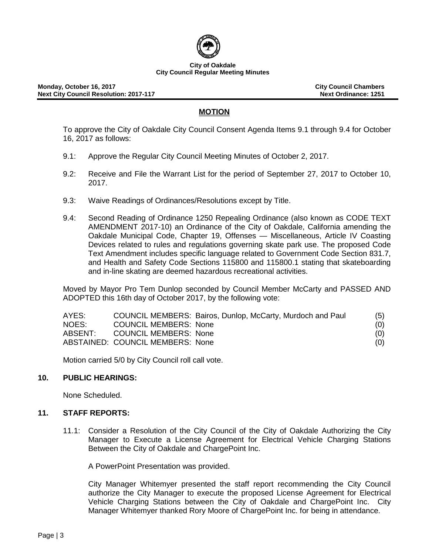

# **MOTION**

To approve the City of Oakdale City Council Consent Agenda Items 9.1 through 9.4 for October 16, 2017 as follows:

- 9.1: Approve the Regular City Council Meeting Minutes of October 2, 2017.
- 9.2: Receive and File the Warrant List for the period of September 27, 2017 to October 10, 2017.
- 9.3: Waive Readings of Ordinances/Resolutions except by Title.
- 9.4: Second Reading of Ordinance 1250 Repealing Ordinance (also known as CODE TEXT AMENDMENT 2017-10) an Ordinance of the City of Oakdale, California amending the Oakdale Municipal Code, Chapter 19, Offenses — Miscellaneous, Article IV Coasting Devices related to rules and regulations governing skate park use. The proposed Code Text Amendment includes specific language related to Government Code Section 831.7, and Health and Safety Code Sections 115800 and 115800.1 stating that skateboarding and in-line skating are deemed hazardous recreational activities.

Moved by Mayor Pro Tem Dunlop seconded by Council Member McCarty and PASSED AND ADOPTED this 16th day of October 2017, by the following vote:

| AYES:   |                                  | COUNCIL MEMBERS: Bairos, Dunlop, McCarty, Murdoch and Paul | (5) |
|---------|----------------------------------|------------------------------------------------------------|-----|
| NOES:   | <b>COUNCIL MEMBERS: None</b>     |                                                            | (0) |
| ABSENT: | <b>COUNCIL MEMBERS: None</b>     |                                                            | (0) |
|         | ABSTAINED: COUNCIL MEMBERS: None |                                                            | (0) |

Motion carried 5/0 by City Council roll call vote.

### **10. PUBLIC HEARINGS:**

None Scheduled.

#### **11. STAFF REPORTS:**

11.1: Consider a Resolution of the City Council of the City of Oakdale Authorizing the City Manager to Execute a License Agreement for Electrical Vehicle Charging Stations Between the City of Oakdale and ChargePoint Inc.

A PowerPoint Presentation was provided.

City Manager Whitemyer presented the staff report recommending the City Council authorize the City Manager to execute the proposed License Agreement for Electrical Vehicle Charging Stations between the City of Oakdale and ChargePoint Inc. City Manager Whitemyer thanked Rory Moore of ChargePoint Inc. for being in attendance.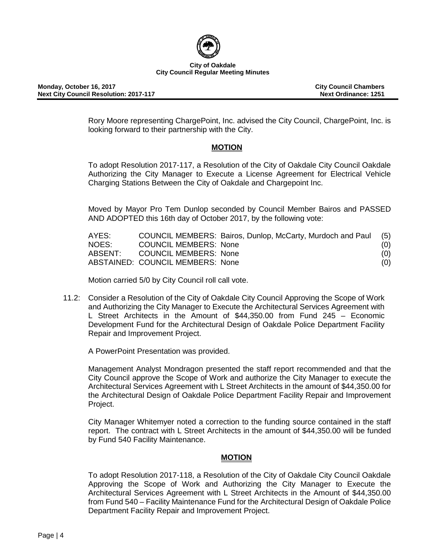

Rory Moore representing ChargePoint, Inc. advised the City Council, ChargePoint, Inc. is looking forward to their partnership with the City.

# **MOTION**

To adopt Resolution 2017-117, a Resolution of the City of Oakdale City Council Oakdale Authorizing the City Manager to Execute a License Agreement for Electrical Vehicle Charging Stations Between the City of Oakdale and Chargepoint Inc.

Moved by Mayor Pro Tem Dunlop seconded by Council Member Bairos and PASSED AND ADOPTED this 16th day of October 2017, by the following vote:

| AYES:   |                                  | COUNCIL MEMBERS: Bairos, Dunlop, McCarty, Murdoch and Paul (5) |     |
|---------|----------------------------------|----------------------------------------------------------------|-----|
| NOES:   | <b>COUNCIL MEMBERS: None</b>     |                                                                | (0) |
| ABSENT: | COUNCIL MEMBERS: None            |                                                                | (0) |
|         | ABSTAINED: COUNCIL MEMBERS: None |                                                                | (0) |

Motion carried 5/0 by City Council roll call vote.

11.2: Consider a Resolution of the City of Oakdale City Council Approving the Scope of Work and Authorizing the City Manager to Execute the Architectural Services Agreement with L Street Architects in the Amount of \$44,350.00 from Fund 245 – Economic Development Fund for the Architectural Design of Oakdale Police Department Facility Repair and Improvement Project.

A PowerPoint Presentation was provided.

Management Analyst Mondragon presented the staff report recommended and that the City Council approve the Scope of Work and authorize the City Manager to execute the Architectural Services Agreement with L Street Architects in the amount of \$44,350.00 for the Architectural Design of Oakdale Police Department Facility Repair and Improvement Project.

City Manager Whitemyer noted a correction to the funding source contained in the staff report. The contract with L Street Architects in the amount of \$44,350.00 will be funded by Fund 540 Facility Maintenance.

### **MOTION**

To adopt Resolution 2017-118, a Resolution of the City of Oakdale City Council Oakdale Approving the Scope of Work and Authorizing the City Manager to Execute the Architectural Services Agreement with L Street Architects in the Amount of \$44,350.00 from Fund 540 – Facility Maintenance Fund for the Architectural Design of Oakdale Police Department Facility Repair and Improvement Project.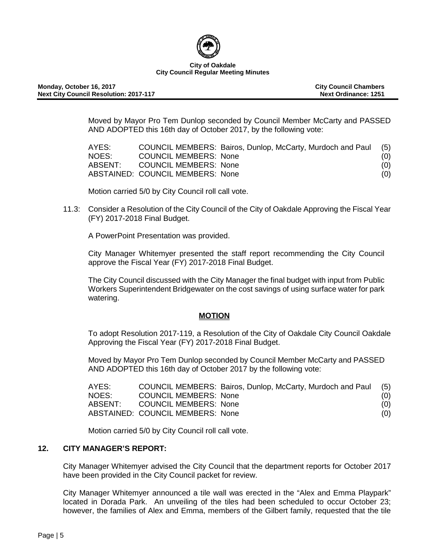

Moved by Mayor Pro Tem Dunlop seconded by Council Member McCarty and PASSED AND ADOPTED this 16th day of October 2017, by the following vote:

| AYES:   |                                  | COUNCIL MEMBERS: Bairos, Dunlop, McCarty, Murdoch and Paul (5) |     |
|---------|----------------------------------|----------------------------------------------------------------|-----|
| NOES:   | <b>COUNCIL MEMBERS: None</b>     |                                                                | (0) |
| ABSENT: | COUNCIL MEMBERS: None            |                                                                | (0) |
|         | ABSTAINED: COUNCIL MEMBERS: None |                                                                | (0) |

Motion carried 5/0 by City Council roll call vote.

11.3: Consider a Resolution of the City Council of the City of Oakdale Approving the Fiscal Year (FY) 2017-2018 Final Budget.

A PowerPoint Presentation was provided.

City Manager Whitemyer presented the staff report recommending the City Council approve the Fiscal Year (FY) 2017-2018 Final Budget.

The City Council discussed with the City Manager the final budget with input from Public Workers Superintendent Bridgewater on the cost savings of using surface water for park watering.

### **MOTION**

To adopt Resolution 2017-119, a Resolution of the City of Oakdale City Council Oakdale Approving the Fiscal Year (FY) 2017-2018 Final Budget.

Moved by Mayor Pro Tem Dunlop seconded by Council Member McCarty and PASSED AND ADOPTED this 16th day of October 2017 by the following vote:

| AYES:   |                                  | COUNCIL MEMBERS: Bairos, Dunlop, McCarty, Murdoch and Paul (5) |     |
|---------|----------------------------------|----------------------------------------------------------------|-----|
| NOES:   | <b>COUNCIL MEMBERS: None</b>     |                                                                | (0) |
| ABSENT: | COUNCIL MEMBERS: None            |                                                                | (0) |
|         | ABSTAINED: COUNCIL MEMBERS: None |                                                                | (0) |

Motion carried 5/0 by City Council roll call vote.

# **12. CITY MANAGER'S REPORT:**

City Manager Whitemyer advised the City Council that the department reports for October 2017 have been provided in the City Council packet for review.

City Manager Whitemyer announced a tile wall was erected in the "Alex and Emma Playpark" located in Dorada Park. An unveiling of the tiles had been scheduled to occur October 23; however, the families of Alex and Emma, members of the Gilbert family, requested that the tile